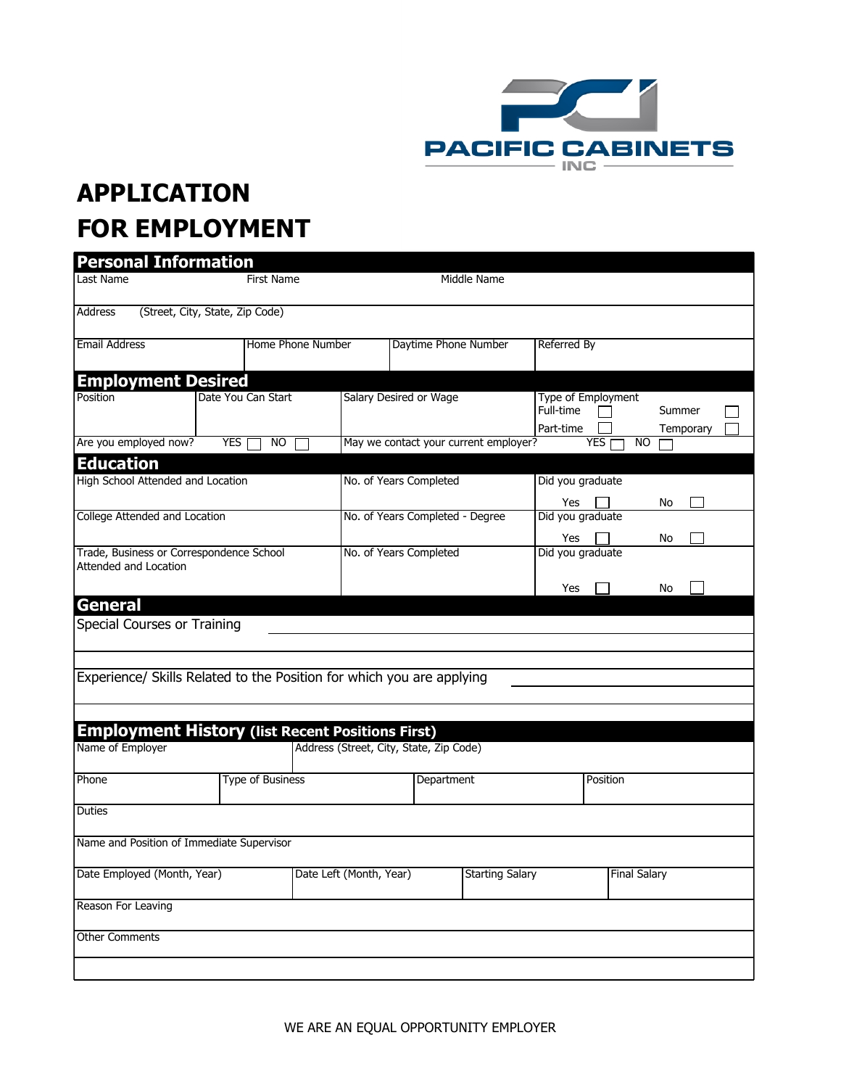

## **APPLICATION FOR EMPLOYMENT**

| <b>Personal Information</b>                                              |                                 |                           |                                         |                        |                        |                                              |                   |                     |  |
|--------------------------------------------------------------------------|---------------------------------|---------------------------|-----------------------------------------|------------------------|------------------------|----------------------------------------------|-------------------|---------------------|--|
| Last Name                                                                |                                 | Middle Name<br>First Name |                                         |                        |                        |                                              |                   |                     |  |
| Address                                                                  | (Street, City, State, Zip Code) |                           |                                         |                        |                        |                                              |                   |                     |  |
| <b>Email Address</b>                                                     |                                 | <b>Home Phone Number</b>  |                                         | Daytime Phone Number   |                        | Referred By                                  |                   |                     |  |
| <b>Employment Desired</b>                                                |                                 |                           |                                         |                        |                        |                                              |                   |                     |  |
| Position                                                                 | Date You Can Start              |                           |                                         | Salary Desired or Wage |                        | Type of Employment<br>Full-time<br>Part-time |                   | Summer<br>Temporary |  |
| Are you employed now?<br>YES  <br>NO.                                    |                                 |                           | May we contact your current employer?   |                        |                        |                                              | <b>YES</b><br>NO. |                     |  |
| <b>Education</b>                                                         |                                 |                           |                                         |                        |                        |                                              |                   |                     |  |
| High School Attended and Location                                        |                                 |                           | No. of Years Completed                  |                        |                        | Did you graduate<br>Yes                      |                   | No                  |  |
| <b>College Attended and Location</b>                                     |                                 |                           | No. of Years Completed - Degree         |                        |                        | Did you graduate<br>Yes                      |                   | No                  |  |
| Trade, Business or Correspondence School<br><b>Attended and Location</b> |                                 |                           | No. of Years Completed                  |                        |                        | Did you graduate<br>Yes                      |                   | No                  |  |
| General                                                                  |                                 |                           |                                         |                        |                        |                                              |                   |                     |  |
| Special Courses or Training                                              |                                 |                           |                                         |                        |                        |                                              |                   |                     |  |
|                                                                          |                                 |                           |                                         |                        |                        |                                              |                   |                     |  |
| Experience/ Skills Related to the Position for which you are applying    |                                 |                           |                                         |                        |                        |                                              |                   |                     |  |
|                                                                          |                                 |                           |                                         |                        |                        |                                              |                   |                     |  |
|                                                                          |                                 |                           |                                         |                        |                        |                                              |                   |                     |  |
| <b>Employment History (list Recent Positions First)</b>                  |                                 |                           |                                         |                        |                        |                                              |                   |                     |  |
| Name of Employer                                                         |                                 |                           | Address (Street, City, State, Zip Code) |                        |                        |                                              |                   |                     |  |
| Phone                                                                    | <b>Type of Business</b>         |                           | Department                              |                        |                        |                                              | Position          |                     |  |
| Duties                                                                   |                                 |                           |                                         |                        |                        |                                              |                   |                     |  |
| Name and Position of Immediate Supervisor                                |                                 |                           |                                         |                        |                        |                                              |                   |                     |  |
| Date Employed (Month, Year)                                              |                                 |                           | Date Left (Month, Year)                 |                        | <b>Starting Salary</b> |                                              |                   | <b>Final Salary</b> |  |
| Reason For Leaving                                                       |                                 |                           |                                         |                        |                        |                                              |                   |                     |  |
| <b>Other Comments</b>                                                    |                                 |                           |                                         |                        |                        |                                              |                   |                     |  |
|                                                                          |                                 |                           |                                         |                        |                        |                                              |                   |                     |  |